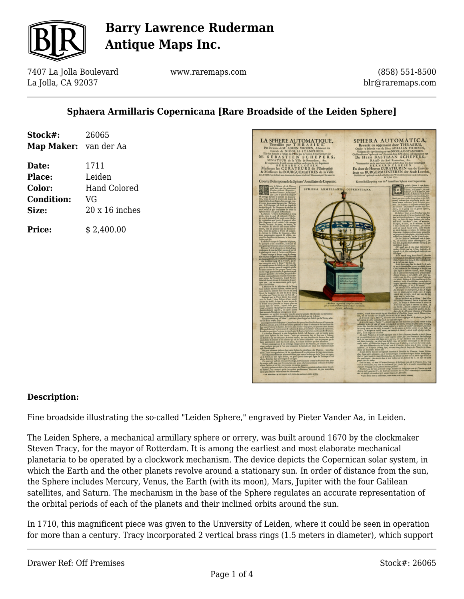

7407 La Jolla Boulevard La Jolla, CA 92037

www.raremaps.com

(858) 551-8500 blr@raremaps.com

### **Sphaera Armillaris Copernicana [Rare Broadside of the Leiden Sphere]**

| Stock#:               | 26065                 |
|-----------------------|-----------------------|
| Map Maker: van der Aa |                       |
| Date:                 | 1711                  |
| Place:                | Leiden                |
| Color:                | Hand Colored          |
| <b>Condition:</b>     | VG                    |
| Size:                 | $20 \times 16$ inches |
| <b>Price:</b>         | \$2.400.00            |



#### **Description:**

Fine broadside illustrating the so-called "Leiden Sphere," engraved by Pieter Vander Aa, in Leiden.

The Leiden Sphere, a mechanical armillary sphere or orrery, was built around 1670 by the clockmaker Steven Tracy, for the mayor of Rotterdam. It is among the earliest and most elaborate mechanical planetaria to be operated by a clockwork mechanism. The device depicts the Copernican solar system, in which the Earth and the other planets revolve around a stationary sun. In order of distance from the sun, the Sphere includes Mercury, Venus, the Earth (with its moon), Mars, Jupiter with the four Galilean satellites, and Saturn. The mechanism in the base of the Sphere regulates an accurate representation of the orbital periods of each of the planets and their inclined orbits around the sun.

In 1710, this magnificent piece was given to the University of Leiden, where it could be seen in operation for more than a century. Tracy incorporated 2 vertical brass rings (1.5 meters in diameter), which support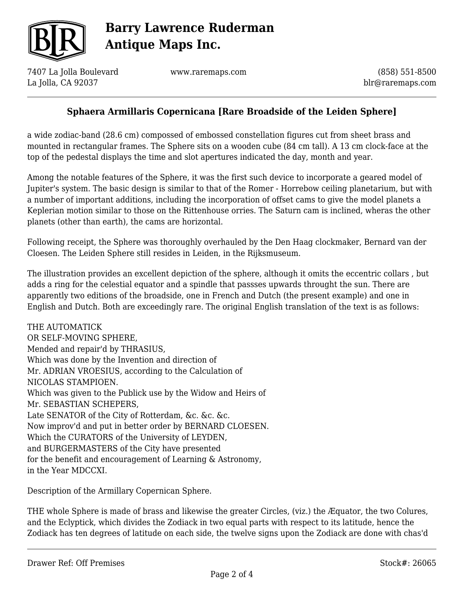

7407 La Jolla Boulevard La Jolla, CA 92037

www.raremaps.com

(858) 551-8500 blr@raremaps.com

### **Sphaera Armillaris Copernicana [Rare Broadside of the Leiden Sphere]**

a wide zodiac-band (28.6 cm) compossed of embossed constellation figures cut from sheet brass and mounted in rectangular frames. The Sphere sits on a wooden cube (84 cm tall). A 13 cm clock-face at the top of the pedestal displays the time and slot apertures indicated the day, month and year.

Among the notable features of the Sphere, it was the first such device to incorporate a geared model of Jupiter's system. The basic design is similar to that of the Romer - Horrebow ceiling planetarium, but with a number of important additions, including the incorporation of offset cams to give the model planets a Keplerian motion similar to those on the Rittenhouse orries. The Saturn cam is inclined, wheras the other planets (other than earth), the cams are horizontal.

Following receipt, the Sphere was thoroughly overhauled by the Den Haag clockmaker, Bernard van der Cloesen. The Leiden Sphere still resides in Leiden, in the Rijksmuseum.

The illustration provides an excellent depiction of the sphere, although it omits the eccentric collars , but adds a ring for the celestial equator and a spindle that passses upwards throught the sun. There are apparently two editions of the broadside, one in French and Dutch (the present example) and one in English and Dutch. Both are exceedingly rare. The original English translation of the text is as follows:

THE AUTOMATICK OR SELF-MOVING SPHERE, Mended and repair'd by THRASIUS, Which was done by the Invention and direction of Mr. ADRIAN VROESIUS, according to the Calculation of NICOLAS STAMPIOEN. Which was given to the Publick use by the Widow and Heirs of Mr. SEBASTIAN SCHEPERS, Late SENATOR of the City of Rotterdam, &c. &c. &c. Now improv'd and put in better order by BERNARD CLOESEN. Which the CURATORS of the University of LEYDEN, and BURGERMASTERS of the City have presented for the benefit and encouragement of Learning & Astronomy, in the Year MDCCXI.

Description of the Armillary Copernican Sphere.

THE whole Sphere is made of brass and likewise the greater Circles, (viz.) the Æquator, the two Colures, and the Eclyptick, which divides the Zodiack in two equal parts with respect to its latitude, hence the Zodiack has ten degrees of latitude on each side, the twelve signs upon the Zodiack are done with chas'd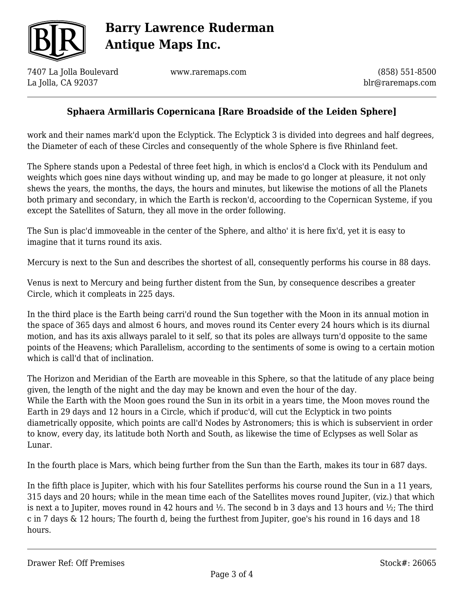

7407 La Jolla Boulevard La Jolla, CA 92037

www.raremaps.com

(858) 551-8500 blr@raremaps.com

### **Sphaera Armillaris Copernicana [Rare Broadside of the Leiden Sphere]**

work and their names mark'd upon the Eclyptick. The Eclyptick 3 is divided into degrees and half degrees, the Diameter of each of these Circles and consequently of the whole Sphere is five Rhinland feet.

The Sphere stands upon a Pedestal of three feet high, in which is enclos'd a Clock with its Pendulum and weights which goes nine days without winding up, and may be made to go longer at pleasure, it not only shews the years, the months, the days, the hours and minutes, but likewise the motions of all the Planets both primary and secondary, in which the Earth is reckon'd, accoording to the Copernican Systeme, if you except the Satellites of Saturn, they all move in the order following.

The Sun is plac'd immoveable in the center of the Sphere, and altho' it is here fix'd, yet it is easy to imagine that it turns round its axis.

Mercury is next to the Sun and describes the shortest of all, consequently performs his course in 88 days.

Venus is next to Mercury and being further distent from the Sun, by consequence describes a greater Circle, which it compleats in 225 days.

In the third place is the Earth being carri'd round the Sun together with the Moon in its annual motion in the space of 365 days and almost 6 hours, and moves round its Center every 24 hours which is its diurnal motion, and has its axis allways paralel to it self, so that its poles are allways turn'd opposite to the same points of the Heavens; which Parallelism, according to the sentiments of some is owing to a certain motion which is call'd that of inclination.

The Horizon and Meridian of the Earth are moveable in this Sphere, so that the latitude of any place being given, the length of the night and the day may be known and even the hour of the day. While the Earth with the Moon goes round the Sun in its orbit in a years time, the Moon moves round the Earth in 29 days and 12 hours in a Circle, which if produc'd, will cut the Eclyptick in two points diametrically opposite, which points are call'd Nodes by Astronomers; this is which is subservient in order to know, every day, its latitude both North and South, as likewise the time of Eclypses as well Solar as Lunar.

In the fourth place is Mars, which being further from the Sun than the Earth, makes its tour in 687 days.

In the fifth place is Jupiter, which with his four Satellites performs his course round the Sun in a 11 years, 315 days and 20 hours; while in the mean time each of the Satellites moves round Jupiter, (viz.) that which is next a to Jupiter, moves round in 42 hours and  $\frac{1}{2}$ . The second b in 3 days and 13 hours and  $\frac{1}{2}$ ; The third c in 7 days & 12 hours; The fourth d, being the furthest from Jupiter, goe's his round in 16 days and 18 hours.